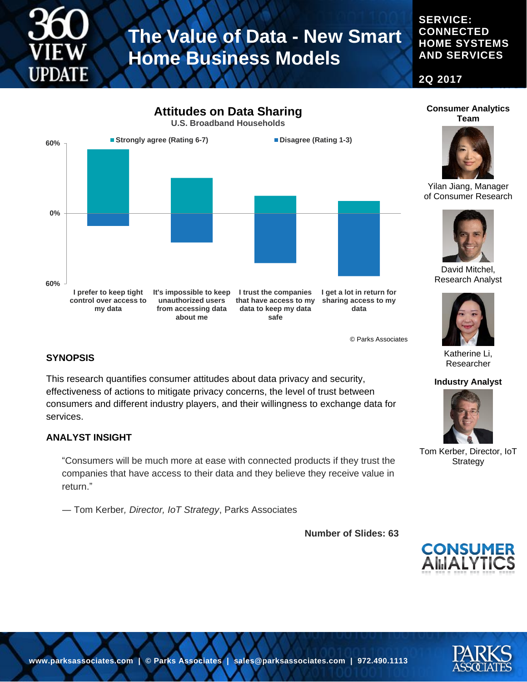

**SERVICE: CONNECTED HOME SYSTEMS AND SERVICES**

**2Q 2017**



© Parks Associates

#### **SYNOPSIS**

This research quantifies consumer attitudes about data privacy and security, effectiveness of actions to mitigate privacy concerns, the level of trust between consumers and different industry players, and their willingness to exchange data for services.

#### **ANALYST INSIGHT**

"Consumers will be much more at ease with connected products if they trust the companies that have access to their data and they believe they receive value in return."

― Tom Kerber*, Director, IoT Strategy*, Parks Associates

**Number of Slides: 63**



Katherine Li, Researcher

**Industry Analyst**

Tom Kerber, Director, IoT **Strategy** 

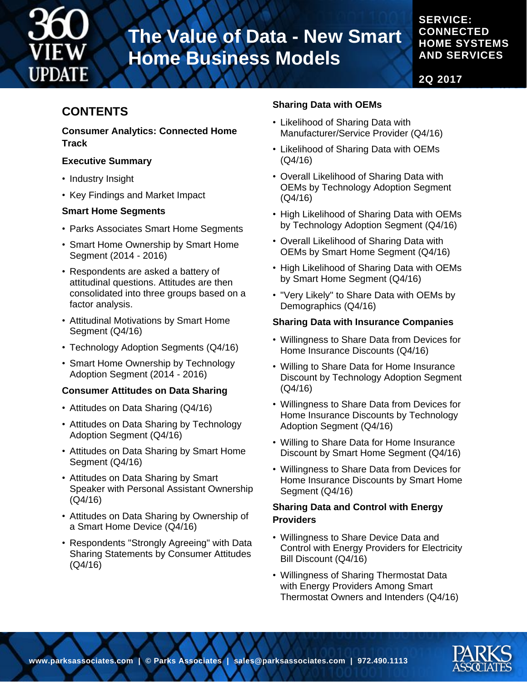

### **SERVICE: CONNECTED HOME SYSTEMS AND SERVICES**

**2Q 2017**

# **CONTENTS**

#### **Consumer Analytics: Connected Home Track**

#### **Executive Summary**

- Industry Insight
- Key Findings and Market Impact

### **Smart Home Segments**

- Parks Associates Smart Home Segments
- Smart Home Ownership by Smart Home Segment (2014 - 2016)
- Respondents are asked a battery of attitudinal questions. Attitudes are then consolidated into three groups based on a factor analysis.
- Attitudinal Motivations by Smart Home Segment (Q4/16)
- Technology Adoption Segments (Q4/16)
- Smart Home Ownership by Technology Adoption Segment (2014 - 2016)

## **Consumer Attitudes on Data Sharing**

- Attitudes on Data Sharing (Q4/16)
- Attitudes on Data Sharing by Technology Adoption Segment (Q4/16)
- Attitudes on Data Sharing by Smart Home Segment (Q4/16)
- Attitudes on Data Sharing by Smart Speaker with Personal Assistant Ownership (Q4/16)
- Attitudes on Data Sharing by Ownership of a Smart Home Device (Q4/16)
- Respondents "Strongly Agreeing" with Data Sharing Statements by Consumer Attitudes (Q4/16)

# **Sharing Data with OEMs**

- Likelihood of Sharing Data with Manufacturer/Service Provider (Q4/16)
- Likelihood of Sharing Data with OEMs (Q4/16)
- Overall Likelihood of Sharing Data with OEMs by Technology Adoption Segment (Q4/16)
- High Likelihood of Sharing Data with OEMs by Technology Adoption Segment (Q4/16)
- Overall Likelihood of Sharing Data with OEMs by Smart Home Segment (Q4/16)
- High Likelihood of Sharing Data with OEMs by Smart Home Segment (Q4/16)
- "Very Likely" to Share Data with OEMs by Demographics (Q4/16)

## **Sharing Data with Insurance Companies**

- Willingness to Share Data from Devices for Home Insurance Discounts (Q4/16)
- Willing to Share Data for Home Insurance Discount by Technology Adoption Segment (Q4/16)
- Willingness to Share Data from Devices for Home Insurance Discounts by Technology Adoption Segment (Q4/16)
- Willing to Share Data for Home Insurance Discount by Smart Home Segment (Q4/16)
- Willingness to Share Data from Devices for Home Insurance Discounts by Smart Home Segment (Q4/16)

## **Sharing Data and Control with Energy Providers**

- Willingness to Share Device Data and Control with Energy Providers for Electricity Bill Discount (Q4/16)
- Willingness of Sharing Thermostat Data with Energy Providers Among Smart Thermostat Owners and Intenders (Q4/16)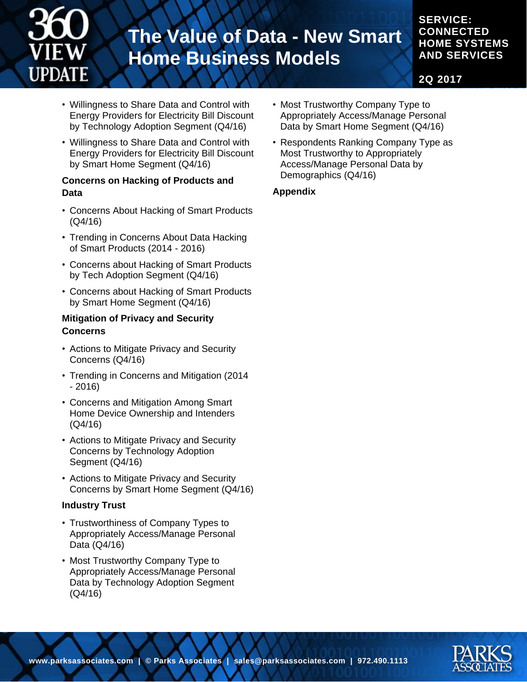

# **SERVICE: CONNECTED HOME SYSTEMS AND SERVICES**

**2Q 2017**

- Willingness to Share Data and Control with Energy Providers for Electricity Bill Discount by Technology Adoption Segment (Q4/16)
- Willingness to Share Data and Control with Energy Providers for Electricity Bill Discount by Smart Home Segment (Q4/16)

#### **Concerns on Hacking of Products and Data**

- Concerns About Hacking of Smart Products (Q4/16)
- Trending in Concerns About Data Hacking of Smart Products (2014 - 2016)
- Concerns about Hacking of Smart Products by Tech Adoption Segment (Q4/16)
- Concerns about Hacking of Smart Products by Smart Home Segment (Q4/16)

#### **Mitigation of Privacy and Security Concerns**

- Actions to Mitigate Privacy and Security Concerns (Q4/16)
- Trending in Concerns and Mitigation (2014 - 2016)
- Concerns and Mitigation Among Smart Home Device Ownership and Intenders (Q4/16)
- Actions to Mitigate Privacy and Security Concerns by Technology Adoption Segment (Q4/16)
- Actions to Mitigate Privacy and Security Concerns by Smart Home Segment (Q4/16)

#### **Industry Trust**

- Trustworthiness of Company Types to Appropriately Access/Manage Personal Data (Q4/16)
- Most Trustworthy Company Type to Appropriately Access/Manage Personal Data by Technology Adoption Segment (Q4/16)
- Most Trustworthy Company Type to Appropriately Access/Manage Personal Data by Smart Home Segment (Q4/16)
- Respondents Ranking Company Type as Most Trustworthy to Appropriately Access/Manage Personal Data by Demographics (Q4/16)

### **Appendix**